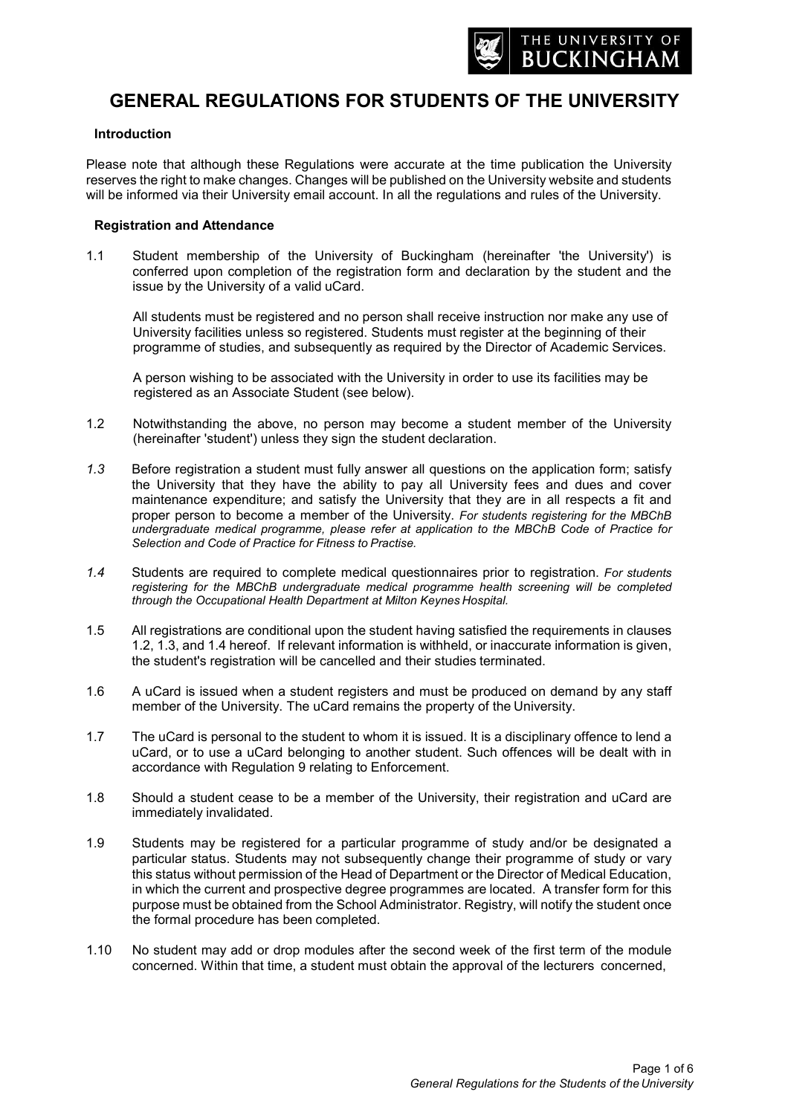

# **GENERAL REGULATIONS FOR STUDENTS OF THE UNIVERSITY**

#### **Introduction**

Please note that although these Regulations were accurate at the time publication the University reserves the right to make changes. Changes will be published on the University website and students will be informed via their University email account. In all the regulations and rules of the University.

#### **Registration and Attendance**

1.1 Student membership of the University of Buckingham (hereinafter 'the University') is conferred upon completion of the registration form and declaration by the student and the issue by the University of a valid uCard.

All students must be registered and no person shall receive instruction nor make any use of University facilities unless so registered. Students must register at the beginning of their programme of studies, and subsequently as required by the Director of Academic Services.

A person wishing to be associated with the University in order to use its facilities may be registered as an Associate Student (see below).

- 1.2 Notwithstanding the above, no person may become a student member of the University (hereinafter 'student') unless they sign the student declaration.
- *1.3* Before registration a student must fully answer all questions on the application form; satisfy the University that they have the ability to pay all University fees and dues and cover maintenance expenditure; and satisfy the University that they are in all respects a fit and proper person to become a member of the University. *For students registering for the MBChB undergraduate medical programme, please refer at application to the MBChB Code of Practice for Selection and Code of Practice for Fitness to Practise.*
- *1.4* Students are required to complete medical questionnaires prior to registration. *For students registering for the MBChB undergraduate medical programme health screening will be completed through the Occupational Health Department at Milton Keynes Hospital.*
- 1.5 All registrations are conditional upon the student having satisfied the requirements in clauses 1.2, 1.3, and 1.4 hereof. If relevant information is withheld, or inaccurate information is given, the student's registration will be cancelled and their studies terminated.
- 1.6 A uCard is issued when a student registers and must be produced on demand by any staff member of the University. The uCard remains the property of the University.
- 1.7 The uCard is personal to the student to whom it is issued. It is a disciplinary offence to lend a uCard, or to use a uCard belonging to another student. Such offences will be dealt with in accordance with Regulation 9 relating to Enforcement.
- 1.8 Should a student cease to be a member of the University, their registration and uCard are immediately invalidated.
- 1.9 Students may be registered for a particular programme of study and/or be designated a particular status. Students may not subsequently change their programme of study or vary this status without permission of the Head of Department or the Director of Medical Education, in which the current and prospective degree programmes are located. A transfer form for this purpose must be obtained from the School Administrator. Registry, will notify the student once the formal procedure has been completed.
- 1.10 No student may add or drop modules after the second week of the first term of the module concerned. Within that time, a student must obtain the approval of the lecturers concerned,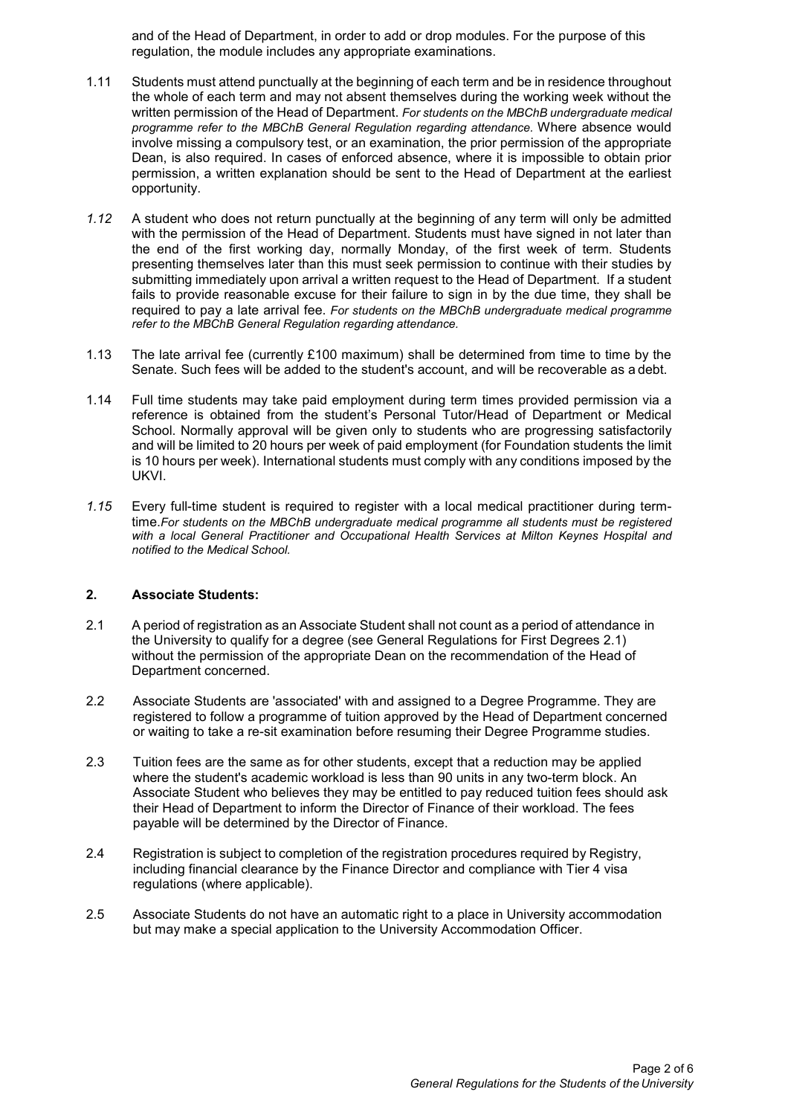and of the Head of Department, in order to add or drop modules. For the purpose of this regulation, the module includes any appropriate examinations.

- 1.11 Students must attend punctually at the beginning of each term and be in residence throughout the whole of each term and may not absent themselves during the working week without the written permission of the Head of Department. *For students on the MBChB undergraduate medical programme refer to the MBChB General Regulation regarding attendance.* Where absence would involve missing a compulsory test, or an examination, the prior permission of the appropriate Dean, is also required. In cases of enforced absence, where it is impossible to obtain prior permission, a written explanation should be sent to the Head of Department at the earliest opportunity.
- *1.12* A student who does not return punctually at the beginning of any term will only be admitted with the permission of the Head of Department. Students must have signed in not later than the end of the first working day, normally Monday, of the first week of term. Students presenting themselves later than this must seek permission to continue with their studies by submitting immediately upon arrival a written request to the Head of Department. If a student fails to provide reasonable excuse for their failure to sign in by the due time, they shall be required to pay a late arrival fee. *For students on the MBChB undergraduate medical programme refer to the MBChB General Regulation regarding attendance.*
- 1.13 The late arrival fee (currently £100 maximum) shall be determined from time to time by the Senate. Such fees will be added to the student's account, and will be recoverable as a debt.
- 1.14 Full time students may take paid employment during term times provided permission via a reference is obtained from the student's Personal Tutor/Head of Department or Medical School. Normally approval will be given only to students who are progressing satisfactorily and will be limited to 20 hours per week of paid employment (for Foundation students the limit is 10 hours per week). International students must comply with any conditions imposed by the UKVI.
- *1.15* Every full-time student is required to register with a local medical practitioner during termtime.*For students on the MBChB undergraduate medical programme all students must be registered with a local General Practitioner and Occupational Health Services at Milton Keynes Hospital and notified to the Medical School.*

# **2. Associate Students:**

- 2.1 A period of registration as an Associate Student shall not count as a period of attendance in the University to qualify for a degree (see General Regulations for First Degrees 2.1) without the permission of the appropriate Dean on the recommendation of the Head of Department concerned.
- 2.2 Associate Students are 'associated' with and assigned to a Degree Programme. They are registered to follow a programme of tuition approved by the Head of Department concerned or waiting to take a re-sit examination before resuming their Degree Programme studies.
- 2.3 Tuition fees are the same as for other students, except that a reduction may be applied where the student's academic workload is less than 90 units in any two-term block. An Associate Student who believes they may be entitled to pay reduced tuition fees should ask their Head of Department to inform the Director of Finance of their workload. The fees payable will be determined by the Director of Finance.
- 2.4 Registration is subject to completion of the registration procedures required by Registry, including financial clearance by the Finance Director and compliance with Tier 4 visa regulations (where applicable).
- 2.5 Associate Students do not have an automatic right to a place in University accommodation but may make a special application to the University Accommodation Officer.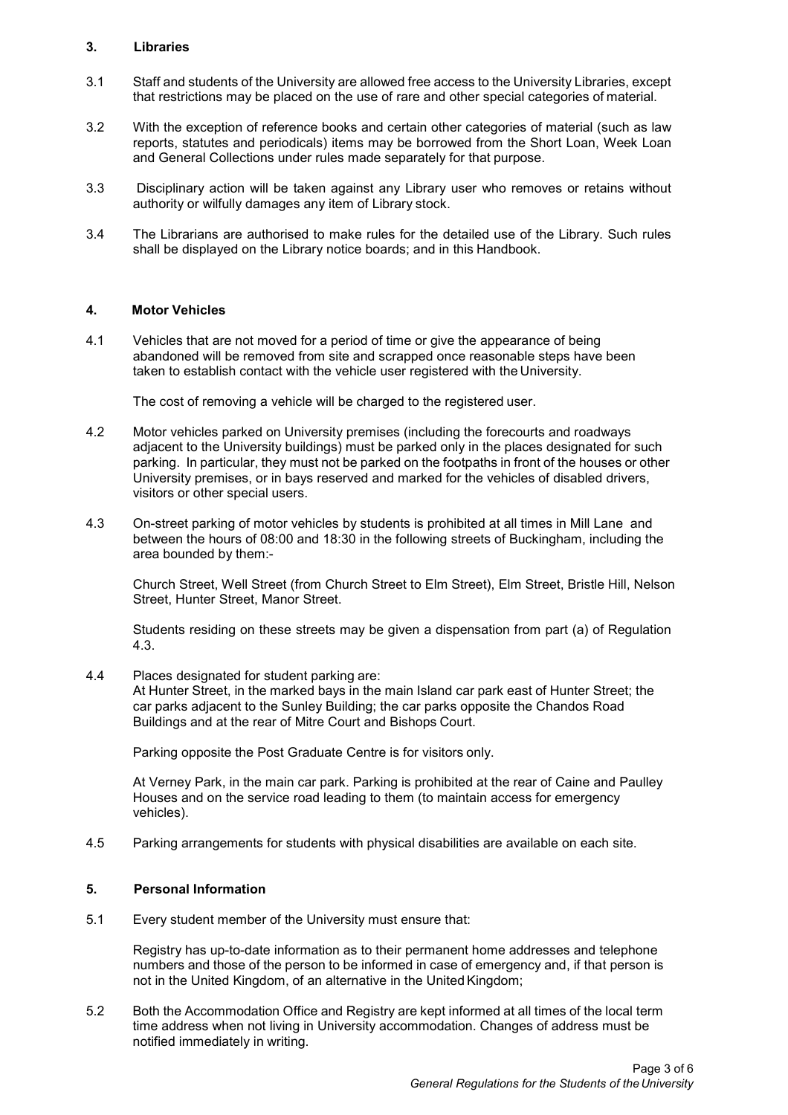## **3. Libraries**

- 3.1 Staff and students of the University are allowed free access to the University Libraries, except that restrictions may be placed on the use of rare and other special categories of material.
- 3.2 With the exception of reference books and certain other categories of material (such as law reports, statutes and periodicals) items may be borrowed from the Short Loan, Week Loan and General Collections under rules made separately for that purpose.
- 3.3 Disciplinary action will be taken against any Library user who removes or retains without authority or wilfully damages any item of Library stock.
- 3.4 The Librarians are authorised to make rules for the detailed use of the Library. Such rules shall be displayed on the Library notice boards; and in this Handbook.

## **4. Motor Vehicles**

4.1 Vehicles that are not moved for a period of time or give the appearance of being abandoned will be removed from site and scrapped once reasonable steps have been taken to establish contact with the vehicle user registered with the University.

The cost of removing a vehicle will be charged to the registered user.

- 4.2 Motor vehicles parked on University premises (including the forecourts and roadways adjacent to the University buildings) must be parked only in the places designated for such parking. In particular, they must not be parked on the footpaths in front of the houses or other University premises, or in bays reserved and marked for the vehicles of disabled drivers, visitors or other special users.
- 4.3 On-street parking of motor vehicles by students is prohibited at all times in Mill Lane and between the hours of 08:00 and 18:30 in the following streets of Buckingham, including the area bounded by them:-

Church Street, Well Street (from Church Street to Elm Street), Elm Street, Bristle Hill, Nelson Street, Hunter Street, Manor Street.

Students residing on these streets may be given a dispensation from part (a) of Regulation 4.3.

4.4 Places designated for student parking are:

At Hunter Street, in the marked bays in the main Island car park east of Hunter Street; the car parks adjacent to the Sunley Building; the car parks opposite the Chandos Road Buildings and at the rear of Mitre Court and Bishops Court.

Parking opposite the Post Graduate Centre is for visitors only.

At Verney Park, in the main car park. Parking is prohibited at the rear of Caine and Paulley Houses and on the service road leading to them (to maintain access for emergency vehicles).

4.5 Parking arrangements for students with physical disabilities are available on each site.

#### **5. Personal Information**

5.1 Every student member of the University must ensure that:

Registry has up-to-date information as to their permanent home addresses and telephone numbers and those of the person to be informed in case of emergency and, if that person is not in the United Kingdom, of an alternative in the United Kingdom;

5.2 Both the Accommodation Office and Registry are kept informed at all times of the local term time address when not living in University accommodation. Changes of address must be notified immediately in writing.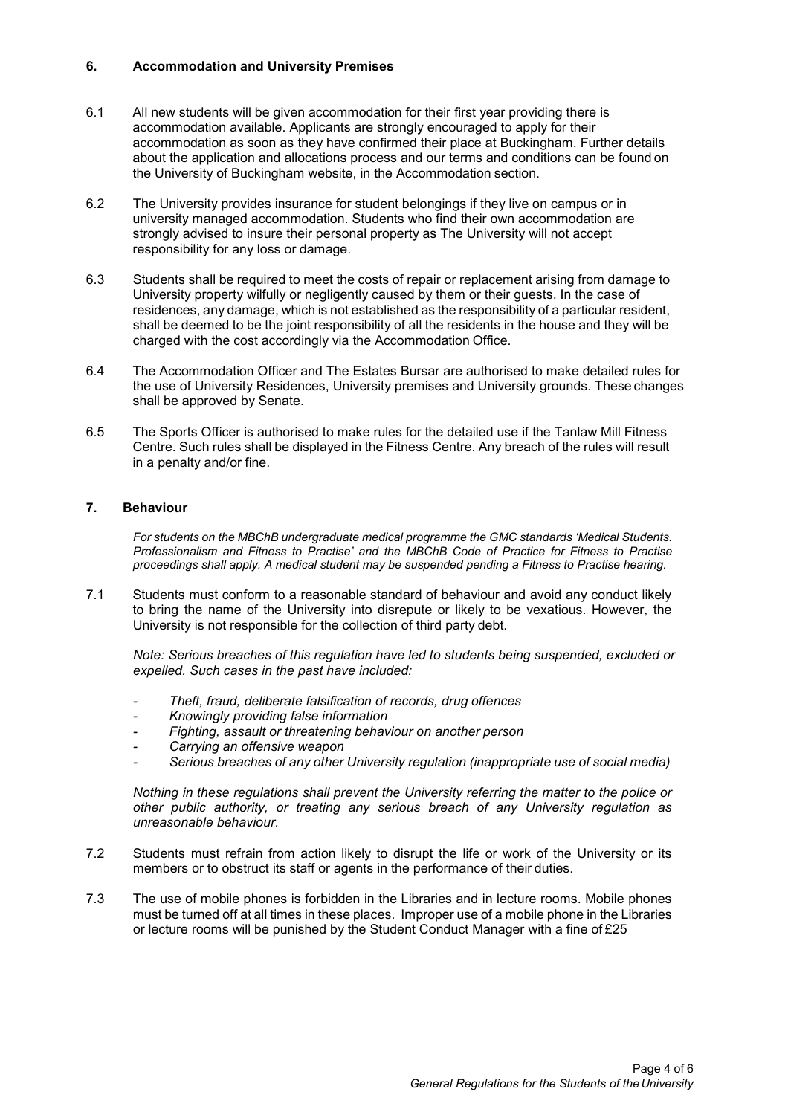# **6. Accommodation and University Premises**

- 6.1 All new students will be given accommodation for their first year providing there is accommodation available. Applicants are strongly encouraged to apply for their accommodation as soon as they have confirmed their place at Buckingham. Further details about the application and allocations process and our terms and conditions can be found on the University of Buckingham website, in the Accommodation section.
- 6.2 The University provides insurance for student belongings if they live on campus or in university managed accommodation. Students who find their own accommodation are strongly advised to insure their personal property as The University will not accept responsibility for any loss or damage.
- 6.3 Students shall be required to meet the costs of repair or replacement arising from damage to University property wilfully or negligently caused by them or their guests. In the case of residences, any damage, which is not established as the responsibility of a particular resident, shall be deemed to be the joint responsibility of all the residents in the house and they will be charged with the cost accordingly via the Accommodation Office.
- 6.4 The Accommodation Officer and The Estates Bursar are authorised to make detailed rules for the use of University Residences, University premises and University grounds. These changes shall be approved by Senate.
- 6.5 The Sports Officer is authorised to make rules for the detailed use if the Tanlaw Mill Fitness Centre. Such rules shall be displayed in the Fitness Centre. Any breach of the rules will result in a penalty and/or fine.

## **7. Behaviour**

*For students on the MBChB undergraduate medical programme the GMC standards 'Medical Students. Professionalism and Fitness to Practise' and the MBChB Code of Practice for Fitness to Practise proceedings shall apply. A medical student may be suspended pending a Fitness to Practise hearing.*

7.1 Students must conform to a reasonable standard of behaviour and avoid any conduct likely to bring the name of the University into disrepute or likely to be vexatious. However, the University is not responsible for the collection of third party debt.

*Note: Serious breaches of this regulation have led to students being suspended, excluded or expelled. Such cases in the past have included:*

- *- Theft, fraud, deliberate falsification of records, drug offences*
- *- Knowingly providing false information*
- *- Fighting, assault or threatening behaviour on another person*
- *- Carrying an offensive weapon*
- *- Serious breaches of any other University regulation (inappropriate use of social media)*

*Nothing in these regulations shall prevent the University referring the matter to the police or other public authority, or treating any serious breach of any University regulation as unreasonable behaviour.*

- 7.2 Students must refrain from action likely to disrupt the life or work of the University or its members or to obstruct its staff or agents in the performance of their duties.
- 7.3 The use of mobile phones is forbidden in the Libraries and in lecture rooms. Mobile phones must be turned off at all times in these places. Improper use of a mobile phone in the Libraries or lecture rooms will be punished by the Student Conduct Manager with a fine of £25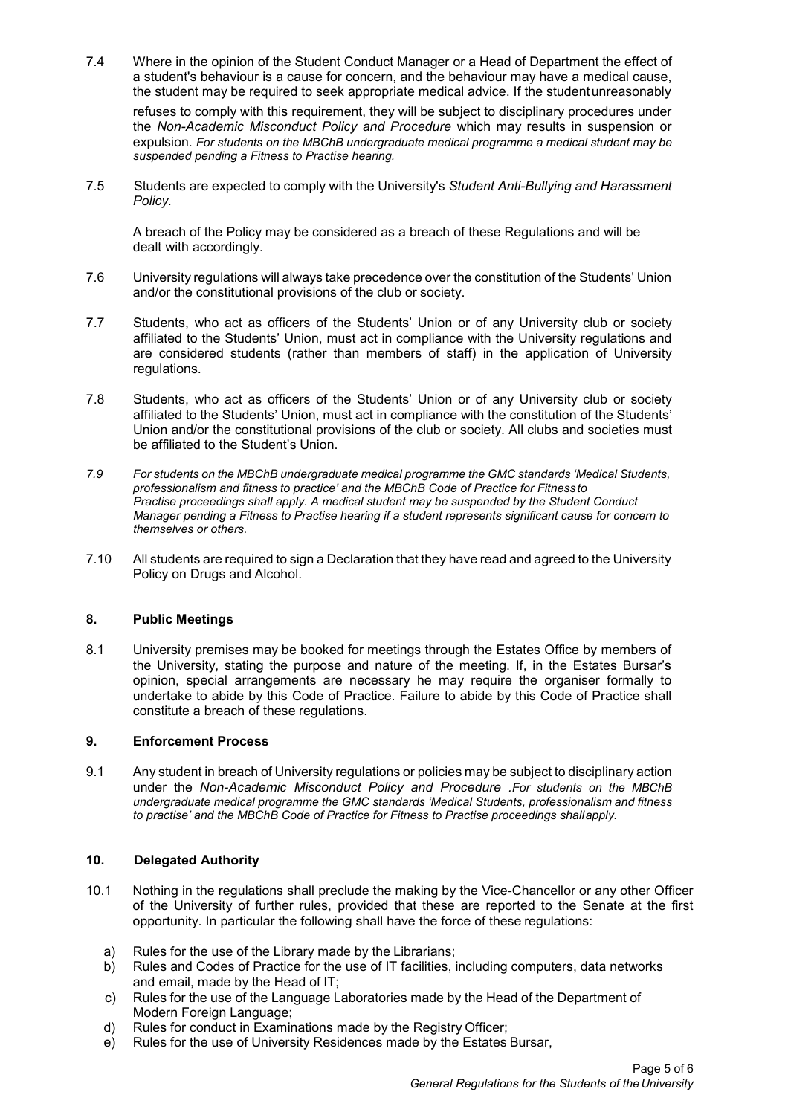7.4 Where in the opinion of the Student Conduct Manager or a Head of Department the effect of a student's behaviour is a cause for concern, and the behaviour may have a medical cause, the student may be required to seek appropriate medical advice. If the studentunreasonably

refuses to comply with this requirement, they will be subject to disciplinary procedures under the *Non-Academic Misconduct Policy and Procedure* which may results in suspension or expulsion. *For students on the MBChB undergraduate medical programme a medical student may be suspended pending a Fitness to Practise hearing.*

7.5 Students are expected to comply with the University's *Student Anti-Bullying and Harassment Policy.*

A breach of the Policy may be considered as a breach of these Regulations and will be dealt with accordingly.

- 7.6 University regulations will always take precedence over the constitution of the Students' Union and/or the constitutional provisions of the club or society.
- 7.7 Students, who act as officers of the Students' Union or of any University club or society affiliated to the Students' Union, must act in compliance with the University regulations and are considered students (rather than members of staff) in the application of University regulations.
- 7.8 Students, who act as officers of the Students' Union or of any University club or society affiliated to the Students' Union, must act in compliance with the constitution of the Students' Union and/or the constitutional provisions of the club or society. All clubs and societies must be affiliated to the Student's Union.
- *7.9 For students on the MBChB undergraduate medical programme the GMC standards 'Medical Students, professionalism and fitness to practice' and the MBChB Code of Practice for Fitnessto Practise proceedings shall apply. A medical student may be suspended by the Student Conduct Manager pending a Fitness to Practise hearing if a student represents significant cause for concern to themselves or others.*
- 7.10 All students are required to sign a Declaration that they have read and agreed to the University Policy on Drugs and Alcohol.

# **8. Public Meetings**

8.1 University premises may be booked for meetings through the Estates Office by members of the University, stating the purpose and nature of the meeting. If, in the Estates Bursar's opinion, special arrangements are necessary he may require the organiser formally to undertake to abide by this Code of Practice. Failure to abide by this Code of Practice shall constitute a breach of these regulations.

# **9. Enforcement Process**

9.1 Any student in breach of University regulations or policies may be subject to disciplinary action under the *Non-Academic Misconduct Policy and Procedure .For students on the MBChB undergraduate medical programme the GMC standards 'Medical Students, professionalism and fitness to practise' and the MBChB Code of Practice for Fitness to Practise proceedings shallapply.*

# **10. Delegated Authority**

- 10.1 Nothing in the regulations shall preclude the making by the Vice-Chancellor or any other Officer of the University of further rules, provided that these are reported to the Senate at the first opportunity. In particular the following shall have the force of these regulations:
	- a) Rules for the use of the Library made by the Librarians;
	- b) Rules and Codes of Practice for the use of IT facilities, including computers, data networks and email, made by the Head of IT;
	- c) Rules for the use of the Language Laboratories made by the Head of the Department of Modern Foreign Language;
	- d) Rules for conduct in Examinations made by the Registry Officer;
	- e) Rules for the use of University Residences made by the Estates Bursar,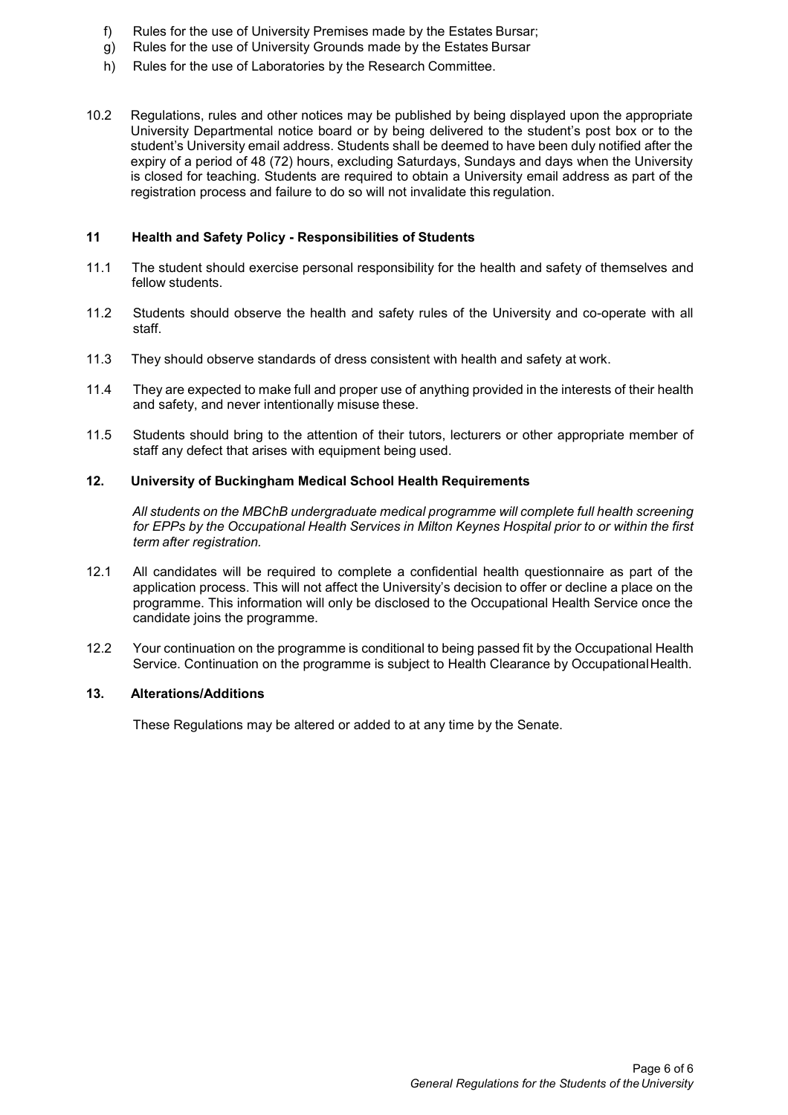- f) Rules for the use of University Premises made by the Estates Bursar;
- g) Rules for the use of University Grounds made by the Estates Bursar
- h) Rules for the use of Laboratories by the Research Committee.
- 10.2 Regulations, rules and other notices may be published by being displayed upon the appropriate University Departmental notice board or by being delivered to the student's post box or to the student's University email address. Students shall be deemed to have been duly notified after the expiry of a period of 48 (72) hours, excluding Saturdays, Sundays and days when the University is closed for teaching. Students are required to obtain a University email address as part of the registration process and failure to do so will not invalidate this regulation.

### **11 Health and Safety Policy - Responsibilities of Students**

- 11.1 The student should exercise personal responsibility for the health and safety of themselves and fellow students.
- 11.2 Students should observe the health and safety rules of the University and co-operate with all staff.
- 11.3 They should observe standards of dress consistent with health and safety at work.
- 11.4 They are expected to make full and proper use of anything provided in the interests of their health and safety, and never intentionally misuse these.
- 11.5 Students should bring to the attention of their tutors, lecturers or other appropriate member of staff any defect that arises with equipment being used.

## **12. University of Buckingham Medical School Health Requirements**

*All students on the MBChB undergraduate medical programme will complete full health screening for EPPs by the Occupational Health Services in Milton Keynes Hospital prior to or within the first term after registration.*

- 12.1 All candidates will be required to complete a confidential health questionnaire as part of the application process. This will not affect the University's decision to offer or decline a place on the programme. This information will only be disclosed to the Occupational Health Service once the candidate joins the programme.
- 12.2 Your continuation on the programme is conditional to being passed fit by the Occupational Health Service. Continuation on the programme is subject to Health Clearance by OccupationalHealth.

#### **13. Alterations/Additions**

These Regulations may be altered or added to at any time by the Senate.